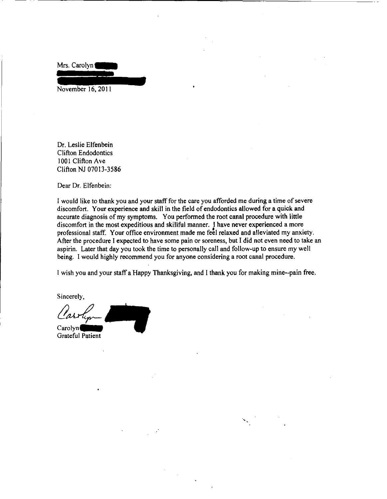Mrs. Carolyn

November 16, 2011

Dr. Leslie Elfenbein Clifton Endodontics 1001 Clifton Ave Clifton NJ 07013-3586

Dear Dr. Elfenbein:

I would like to thank you and your staff for the care you afforded me during a time of severe discomfort. Your experience and skill in the field of endodontics allowed for a quick and accurate diagnosis of my symptoms. You performed the root canal procedure with little discomfort in the most expeditious and skillful manner. I have never experienced a more professional staff. Your office environment made me feel relaxed and alleviated my anxiety. After the procedure I expected to have some pain or soreness, but I did not even need to take an aspirin. Later that day you took the time to personally call and follow-up to ensure my well being. I would highly recommend you for anyone considering a root canal procedure.

I wish you and your staff a Happy Thanksgiving, and I thank you for making mine--pain free.

Sincerely,

Sincerely,<br>Clasship Carolyn.

Grateful Patient